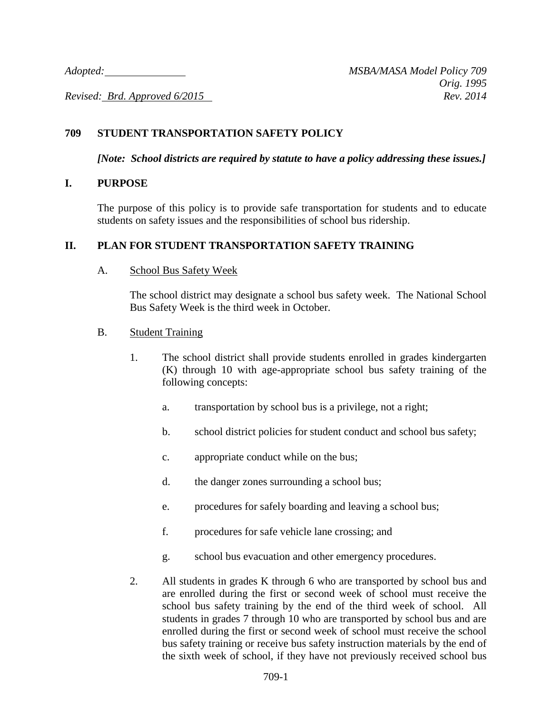*Revised: Brd. Approved 6/2015* Rev. 2014

## **709 STUDENT TRANSPORTATION SAFETY POLICY**

*[Note: School districts are required by statute to have a policy addressing these issues.]*

#### **I. PURPOSE**

The purpose of this policy is to provide safe transportation for students and to educate students on safety issues and the responsibilities of school bus ridership.

#### **II. PLAN FOR STUDENT TRANSPORTATION SAFETY TRAINING**

#### A. School Bus Safety Week

The school district may designate a school bus safety week. The National School Bus Safety Week is the third week in October.

#### B. Student Training

- 1. The school district shall provide students enrolled in grades kindergarten (K) through 10 with age-appropriate school bus safety training of the following concepts:
	- a. transportation by school bus is a privilege, not a right;
	- b. school district policies for student conduct and school bus safety;
	- c. appropriate conduct while on the bus;
	- d. the danger zones surrounding a school bus;
	- e. procedures for safely boarding and leaving a school bus;
	- f. procedures for safe vehicle lane crossing; and
	- g. school bus evacuation and other emergency procedures.
- 2. All students in grades K through 6 who are transported by school bus and are enrolled during the first or second week of school must receive the school bus safety training by the end of the third week of school. All students in grades 7 through 10 who are transported by school bus and are enrolled during the first or second week of school must receive the school bus safety training or receive bus safety instruction materials by the end of the sixth week of school, if they have not previously received school bus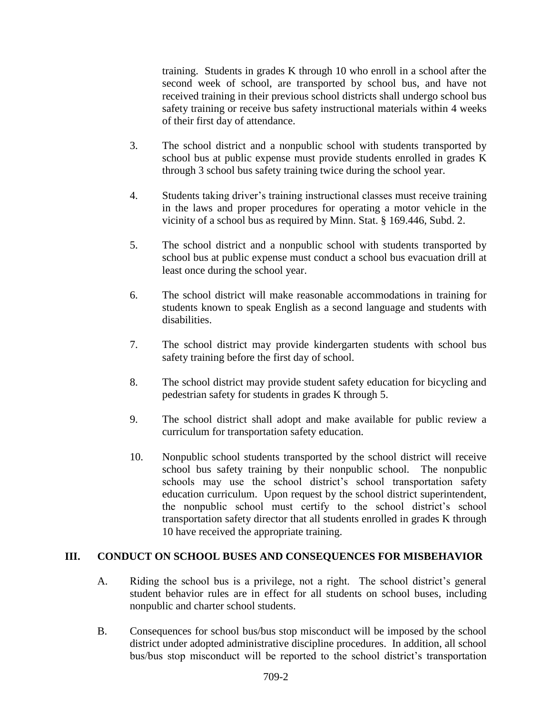training. Students in grades K through 10 who enroll in a school after the second week of school, are transported by school bus, and have not received training in their previous school districts shall undergo school bus safety training or receive bus safety instructional materials within 4 weeks of their first day of attendance.

- 3. The school district and a nonpublic school with students transported by school bus at public expense must provide students enrolled in grades K through 3 school bus safety training twice during the school year.
- 4. Students taking driver's training instructional classes must receive training in the laws and proper procedures for operating a motor vehicle in the vicinity of a school bus as required by Minn. Stat. § 169.446, Subd. 2.
- 5. The school district and a nonpublic school with students transported by school bus at public expense must conduct a school bus evacuation drill at least once during the school year.
- 6. The school district will make reasonable accommodations in training for students known to speak English as a second language and students with disabilities.
- 7. The school district may provide kindergarten students with school bus safety training before the first day of school.
- 8. The school district may provide student safety education for bicycling and pedestrian safety for students in grades K through 5.
- 9. The school district shall adopt and make available for public review a curriculum for transportation safety education.
- 10. Nonpublic school students transported by the school district will receive school bus safety training by their nonpublic school. The nonpublic schools may use the school district's school transportation safety education curriculum. Upon request by the school district superintendent, the nonpublic school must certify to the school district's school transportation safety director that all students enrolled in grades K through 10 have received the appropriate training.

## **III. CONDUCT ON SCHOOL BUSES AND CONSEQUENCES FOR MISBEHAVIOR**

- A. Riding the school bus is a privilege, not a right. The school district's general student behavior rules are in effect for all students on school buses, including nonpublic and charter school students.
- B. Consequences for school bus/bus stop misconduct will be imposed by the school district under adopted administrative discipline procedures. In addition, all school bus/bus stop misconduct will be reported to the school district's transportation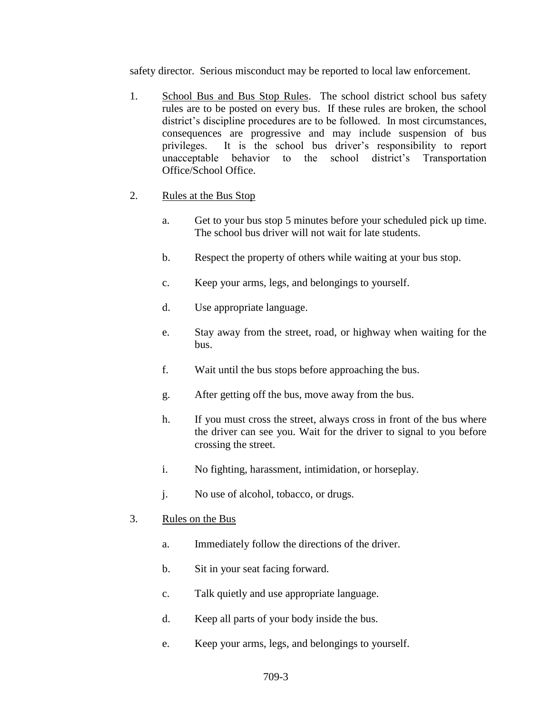safety director. Serious misconduct may be reported to local law enforcement.

- 1. School Bus and Bus Stop Rules. The school district school bus safety rules are to be posted on every bus. If these rules are broken, the school district's discipline procedures are to be followed. In most circumstances, consequences are progressive and may include suspension of bus privileges. It is the school bus driver's responsibility to report unacceptable behavior to the school district's Transportation Office/School Office.
- 2. Rules at the Bus Stop
	- a. Get to your bus stop 5 minutes before your scheduled pick up time. The school bus driver will not wait for late students.
	- b. Respect the property of others while waiting at your bus stop.
	- c. Keep your arms, legs, and belongings to yourself.
	- d. Use appropriate language.
	- e. Stay away from the street, road, or highway when waiting for the bus.
	- f. Wait until the bus stops before approaching the bus.
	- g. After getting off the bus, move away from the bus.
	- h. If you must cross the street, always cross in front of the bus where the driver can see you. Wait for the driver to signal to you before crossing the street.
	- i. No fighting, harassment, intimidation, or horseplay.
	- j. No use of alcohol, tobacco, or drugs.
- 3. Rules on the Bus
	- a. Immediately follow the directions of the driver.
	- b. Sit in your seat facing forward.
	- c. Talk quietly and use appropriate language.
	- d. Keep all parts of your body inside the bus.
	- e. Keep your arms, legs, and belongings to yourself.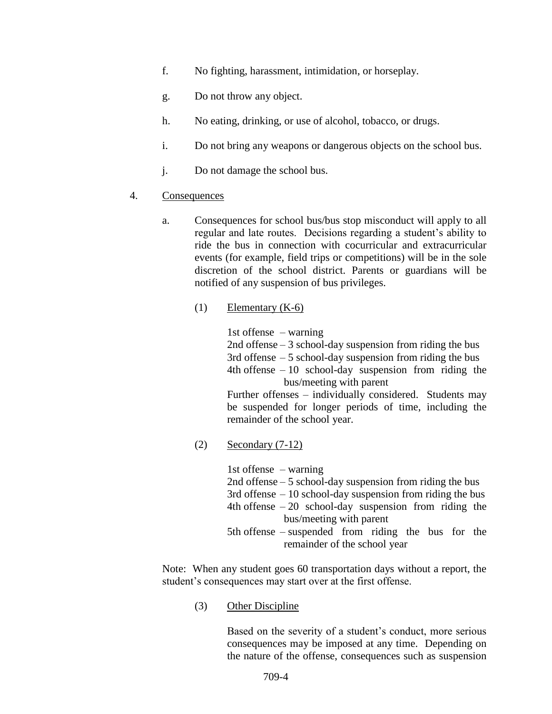- f. No fighting, harassment, intimidation, or horseplay.
- g. Do not throw any object.
- h. No eating, drinking, or use of alcohol, tobacco, or drugs.
- i. Do not bring any weapons or dangerous objects on the school bus.
- j. Do not damage the school bus.
- 4. Consequences
	- a. Consequences for school bus/bus stop misconduct will apply to all regular and late routes. Decisions regarding a student's ability to ride the bus in connection with cocurricular and extracurricular events (for example, field trips or competitions) will be in the sole discretion of the school district. Parents or guardians will be notified of any suspension of bus privileges.
		- $(1)$  Elementary  $(K-6)$

1st offense – warning

2nd offense – 3 school-day suspension from riding the bus 3rd offense  $-5$  school-day suspension from riding the bus 4th offense  $-10$  school-day suspension from riding the bus/meeting with parent

Further offenses – individually considered. Students may be suspended for longer periods of time, including the remainder of the school year.

(2) Secondary (7-12)

1st offense – warning 2nd offense – 5 school-day suspension from riding the bus  $3rd$  offense  $-10$  school-day suspension from riding the bus 4th offense  $-20$  school-day suspension from riding the bus/meeting with parent 5th offense – suspended from riding the bus for the remainder of the school year

Note: When any student goes 60 transportation days without a report, the student's consequences may start over at the first offense.

(3) Other Discipline

Based on the severity of a student's conduct, more serious consequences may be imposed at any time. Depending on the nature of the offense, consequences such as suspension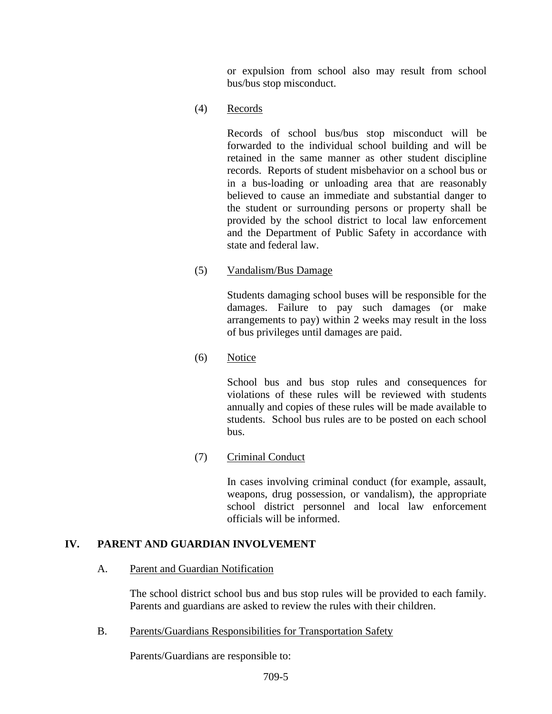or expulsion from school also may result from school bus/bus stop misconduct.

(4) Records

Records of school bus/bus stop misconduct will be forwarded to the individual school building and will be retained in the same manner as other student discipline records. Reports of student misbehavior on a school bus or in a bus-loading or unloading area that are reasonably believed to cause an immediate and substantial danger to the student or surrounding persons or property shall be provided by the school district to local law enforcement and the Department of Public Safety in accordance with state and federal law.

(5) Vandalism/Bus Damage

Students damaging school buses will be responsible for the damages. Failure to pay such damages (or make arrangements to pay) within 2 weeks may result in the loss of bus privileges until damages are paid.

(6) Notice

School bus and bus stop rules and consequences for violations of these rules will be reviewed with students annually and copies of these rules will be made available to students. School bus rules are to be posted on each school bus.

(7) Criminal Conduct

In cases involving criminal conduct (for example, assault, weapons, drug possession, or vandalism), the appropriate school district personnel and local law enforcement officials will be informed.

#### **IV. PARENT AND GUARDIAN INVOLVEMENT**

#### A. Parent and Guardian Notification

The school district school bus and bus stop rules will be provided to each family. Parents and guardians are asked to review the rules with their children.

B. Parents/Guardians Responsibilities for Transportation Safety

Parents/Guardians are responsible to: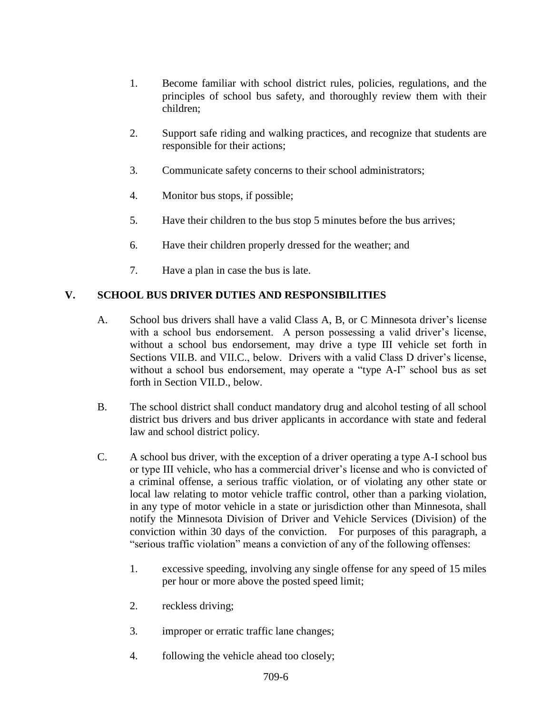- 1. Become familiar with school district rules, policies, regulations, and the principles of school bus safety, and thoroughly review them with their children;
- 2. Support safe riding and walking practices, and recognize that students are responsible for their actions;
- 3. Communicate safety concerns to their school administrators;
- 4. Monitor bus stops, if possible;
- 5. Have their children to the bus stop 5 minutes before the bus arrives;
- 6. Have their children properly dressed for the weather; and
- 7. Have a plan in case the bus is late.

# **V. SCHOOL BUS DRIVER DUTIES AND RESPONSIBILITIES**

- A. School bus drivers shall have a valid Class A, B, or C Minnesota driver's license with a school bus endorsement. A person possessing a valid driver's license, without a school bus endorsement, may drive a type III vehicle set forth in Sections VII.B. and VII.C., below. Drivers with a valid Class D driver's license, without a school bus endorsement, may operate a "type A-I" school bus as set forth in Section VII.D., below.
- B. The school district shall conduct mandatory drug and alcohol testing of all school district bus drivers and bus driver applicants in accordance with state and federal law and school district policy.
- C. A school bus driver, with the exception of a driver operating a type A-I school bus or type III vehicle, who has a commercial driver's license and who is convicted of a criminal offense, a serious traffic violation, or of violating any other state or local law relating to motor vehicle traffic control, other than a parking violation, in any type of motor vehicle in a state or jurisdiction other than Minnesota, shall notify the Minnesota Division of Driver and Vehicle Services (Division) of the conviction within 30 days of the conviction. For purposes of this paragraph, a "serious traffic violation" means a conviction of any of the following offenses:
	- 1. excessive speeding, involving any single offense for any speed of 15 miles per hour or more above the posted speed limit;
	- 2. reckless driving;
	- 3. improper or erratic traffic lane changes;
	- 4. following the vehicle ahead too closely;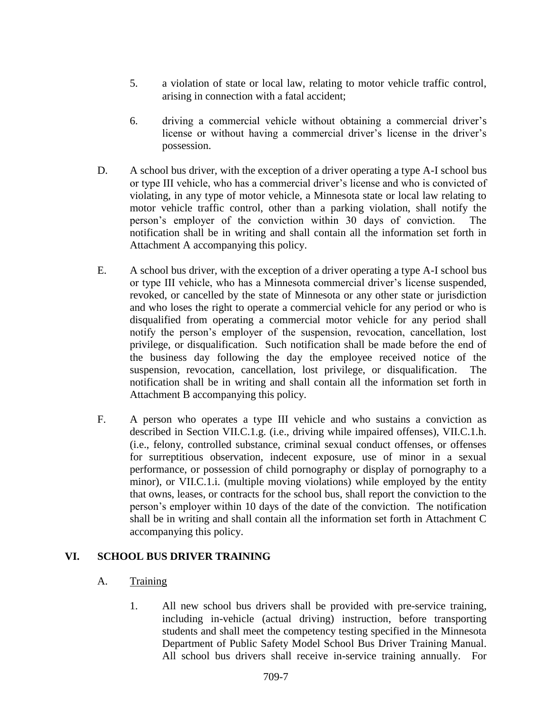- 5. a violation of state or local law, relating to motor vehicle traffic control, arising in connection with a fatal accident;
- 6. driving a commercial vehicle without obtaining a commercial driver's license or without having a commercial driver's license in the driver's possession.
- D. A school bus driver, with the exception of a driver operating a type A-I school bus or type III vehicle, who has a commercial driver's license and who is convicted of violating, in any type of motor vehicle, a Minnesota state or local law relating to motor vehicle traffic control, other than a parking violation, shall notify the person's employer of the conviction within 30 days of conviction. The notification shall be in writing and shall contain all the information set forth in Attachment A accompanying this policy.
- E. A school bus driver, with the exception of a driver operating a type A-I school bus or type III vehicle, who has a Minnesota commercial driver's license suspended, revoked, or cancelled by the state of Minnesota or any other state or jurisdiction and who loses the right to operate a commercial vehicle for any period or who is disqualified from operating a commercial motor vehicle for any period shall notify the person's employer of the suspension, revocation, cancellation, lost privilege, or disqualification. Such notification shall be made before the end of the business day following the day the employee received notice of the suspension, revocation, cancellation, lost privilege, or disqualification. The notification shall be in writing and shall contain all the information set forth in Attachment B accompanying this policy.
- F. A person who operates a type III vehicle and who sustains a conviction as described in Section VII.C.1.g. (i.e., driving while impaired offenses), VII.C.1.h. (i.e., felony, controlled substance, criminal sexual conduct offenses, or offenses for surreptitious observation, indecent exposure, use of minor in a sexual performance, or possession of child pornography or display of pornography to a minor), or VII.C.1.i. (multiple moving violations) while employed by the entity that owns, leases, or contracts for the school bus, shall report the conviction to the person's employer within 10 days of the date of the conviction. The notification shall be in writing and shall contain all the information set forth in Attachment C accompanying this policy.

## **VI. SCHOOL BUS DRIVER TRAINING**

#### A. Training

1. All new school bus drivers shall be provided with pre-service training, including in-vehicle (actual driving) instruction, before transporting students and shall meet the competency testing specified in the Minnesota Department of Public Safety Model School Bus Driver Training Manual. All school bus drivers shall receive in-service training annually. For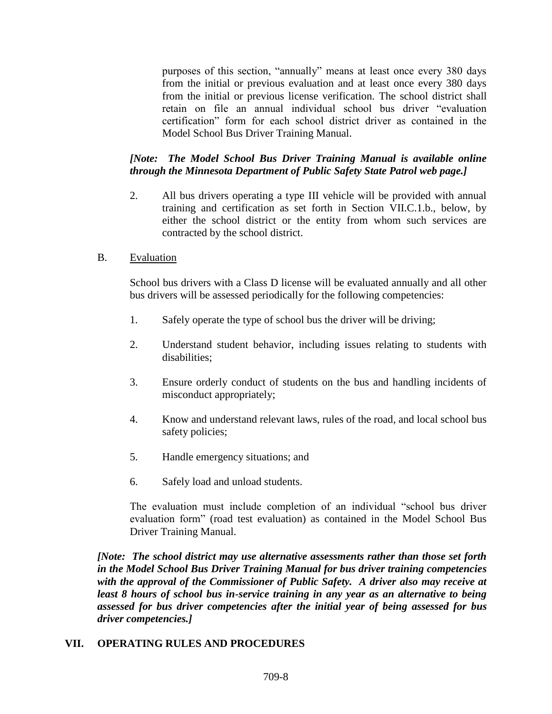purposes of this section, "annually" means at least once every 380 days from the initial or previous evaluation and at least once every 380 days from the initial or previous license verification. The school district shall retain on file an annual individual school bus driver "evaluation certification" form for each school district driver as contained in the Model School Bus Driver Training Manual.

# *[Note: The Model School Bus Driver Training Manual is available online through the Minnesota Department of Public Safety State Patrol web page.]*

2. All bus drivers operating a type III vehicle will be provided with annual training and certification as set forth in Section VII.C.1.b., below, by either the school district or the entity from whom such services are contracted by the school district.

## B. Evaluation

School bus drivers with a Class D license will be evaluated annually and all other bus drivers will be assessed periodically for the following competencies:

- 1. Safely operate the type of school bus the driver will be driving;
- 2. Understand student behavior, including issues relating to students with disabilities;
- 3. Ensure orderly conduct of students on the bus and handling incidents of misconduct appropriately;
- 4. Know and understand relevant laws, rules of the road, and local school bus safety policies;
- 5. Handle emergency situations; and
- 6. Safely load and unload students.

The evaluation must include completion of an individual "school bus driver evaluation form" (road test evaluation) as contained in the Model School Bus Driver Training Manual.

*[Note: The school district may use alternative assessments rather than those set forth in the Model School Bus Driver Training Manual for bus driver training competencies with the approval of the Commissioner of Public Safety. A driver also may receive at least 8 hours of school bus in-service training in any year as an alternative to being assessed for bus driver competencies after the initial year of being assessed for bus driver competencies.]*

## **VII. OPERATING RULES AND PROCEDURES**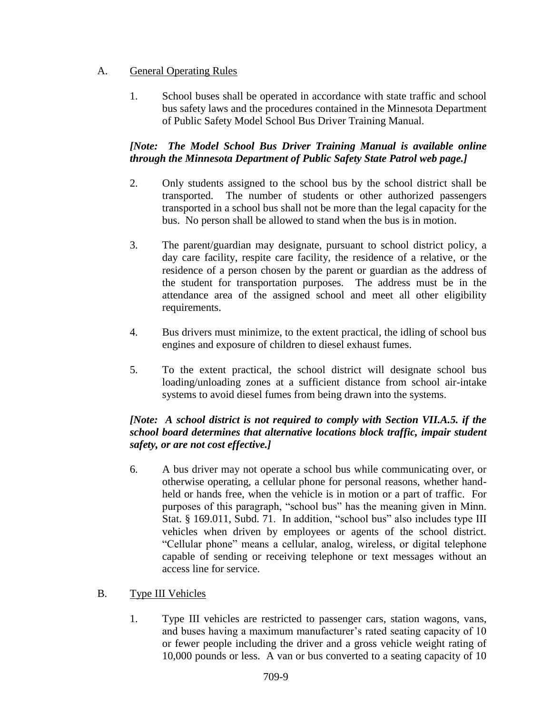# A. General Operating Rules

1. School buses shall be operated in accordance with state traffic and school bus safety laws and the procedures contained in the Minnesota Department of Public Safety Model School Bus Driver Training Manual.

# *[Note: The Model School Bus Driver Training Manual is available online through the Minnesota Department of Public Safety State Patrol web page.]*

- 2. Only students assigned to the school bus by the school district shall be transported. The number of students or other authorized passengers transported in a school bus shall not be more than the legal capacity for the bus. No person shall be allowed to stand when the bus is in motion.
- 3. The parent/guardian may designate, pursuant to school district policy, a day care facility, respite care facility, the residence of a relative, or the residence of a person chosen by the parent or guardian as the address of the student for transportation purposes. The address must be in the attendance area of the assigned school and meet all other eligibility requirements.
- 4. Bus drivers must minimize, to the extent practical, the idling of school bus engines and exposure of children to diesel exhaust fumes.
- 5. To the extent practical, the school district will designate school bus loading/unloading zones at a sufficient distance from school air-intake systems to avoid diesel fumes from being drawn into the systems.

# *[Note: A school district is not required to comply with Section VII.A.5. if the school board determines that alternative locations block traffic, impair student safety, or are not cost effective.]*

6. A bus driver may not operate a school bus while communicating over, or otherwise operating, a cellular phone for personal reasons, whether handheld or hands free, when the vehicle is in motion or a part of traffic. For purposes of this paragraph, "school bus" has the meaning given in Minn. Stat. § 169.011, Subd. 71. In addition, "school bus" also includes type III vehicles when driven by employees or agents of the school district. "Cellular phone" means a cellular, analog, wireless, or digital telephone capable of sending or receiving telephone or text messages without an access line for service.

## B. Type III Vehicles

1. Type III vehicles are restricted to passenger cars, station wagons, vans, and buses having a maximum manufacturer's rated seating capacity of 10 or fewer people including the driver and a gross vehicle weight rating of 10,000 pounds or less. A van or bus converted to a seating capacity of 10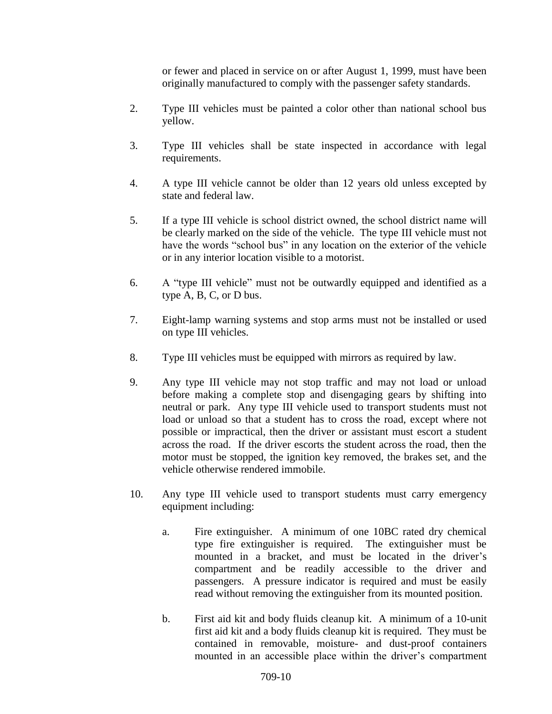or fewer and placed in service on or after August 1, 1999, must have been originally manufactured to comply with the passenger safety standards.

- 2. Type III vehicles must be painted a color other than national school bus yellow.
- 3. Type III vehicles shall be state inspected in accordance with legal requirements.
- 4. A type III vehicle cannot be older than 12 years old unless excepted by state and federal law.
- 5. If a type III vehicle is school district owned, the school district name will be clearly marked on the side of the vehicle. The type III vehicle must not have the words "school bus" in any location on the exterior of the vehicle or in any interior location visible to a motorist.
- 6. A "type III vehicle" must not be outwardly equipped and identified as a type A, B, C, or D bus.
- 7. Eight-lamp warning systems and stop arms must not be installed or used on type III vehicles.
- 8. Type III vehicles must be equipped with mirrors as required by law.
- 9. Any type III vehicle may not stop traffic and may not load or unload before making a complete stop and disengaging gears by shifting into neutral or park. Any type III vehicle used to transport students must not load or unload so that a student has to cross the road, except where not possible or impractical, then the driver or assistant must escort a student across the road. If the driver escorts the student across the road, then the motor must be stopped, the ignition key removed, the brakes set, and the vehicle otherwise rendered immobile.
- 10. Any type III vehicle used to transport students must carry emergency equipment including:
	- a. Fire extinguisher. A minimum of one 10BC rated dry chemical type fire extinguisher is required. The extinguisher must be mounted in a bracket, and must be located in the driver's compartment and be readily accessible to the driver and passengers. A pressure indicator is required and must be easily read without removing the extinguisher from its mounted position.
	- b. First aid kit and body fluids cleanup kit. A minimum of a 10-unit first aid kit and a body fluids cleanup kit is required. They must be contained in removable, moisture- and dust-proof containers mounted in an accessible place within the driver's compartment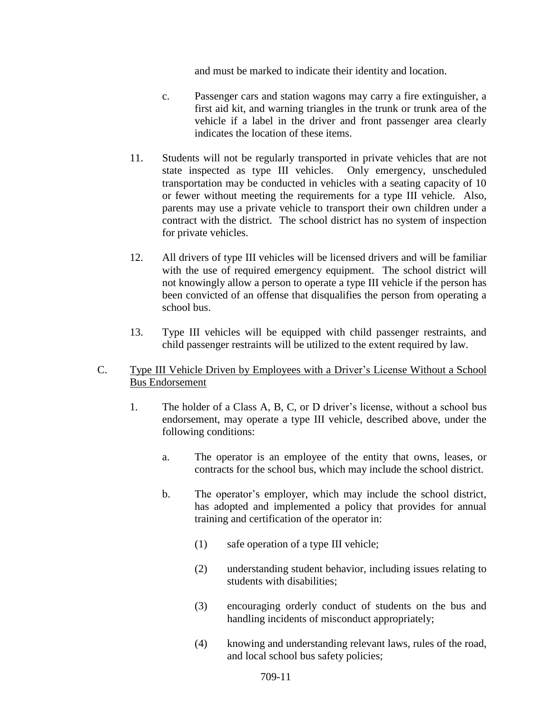and must be marked to indicate their identity and location.

- c. Passenger cars and station wagons may carry a fire extinguisher, a first aid kit, and warning triangles in the trunk or trunk area of the vehicle if a label in the driver and front passenger area clearly indicates the location of these items.
- 11. Students will not be regularly transported in private vehicles that are not state inspected as type III vehicles. Only emergency, unscheduled transportation may be conducted in vehicles with a seating capacity of 10 or fewer without meeting the requirements for a type III vehicle. Also, parents may use a private vehicle to transport their own children under a contract with the district. The school district has no system of inspection for private vehicles.
- 12. All drivers of type III vehicles will be licensed drivers and will be familiar with the use of required emergency equipment. The school district will not knowingly allow a person to operate a type III vehicle if the person has been convicted of an offense that disqualifies the person from operating a school bus.
- 13. Type III vehicles will be equipped with child passenger restraints, and child passenger restraints will be utilized to the extent required by law.

#### C. Type III Vehicle Driven by Employees with a Driver's License Without a School Bus Endorsement

- 1. The holder of a Class A, B, C, or D driver's license, without a school bus endorsement, may operate a type III vehicle, described above, under the following conditions:
	- a. The operator is an employee of the entity that owns, leases, or contracts for the school bus, which may include the school district.
	- b. The operator's employer, which may include the school district, has adopted and implemented a policy that provides for annual training and certification of the operator in:
		- (1) safe operation of a type III vehicle;
		- (2) understanding student behavior, including issues relating to students with disabilities;
		- (3) encouraging orderly conduct of students on the bus and handling incidents of misconduct appropriately;
		- (4) knowing and understanding relevant laws, rules of the road, and local school bus safety policies;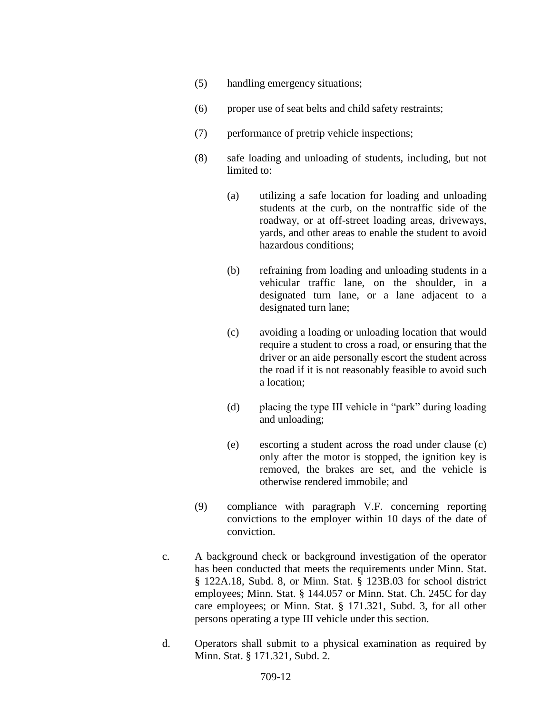- (5) handling emergency situations;
- (6) proper use of seat belts and child safety restraints;
- (7) performance of pretrip vehicle inspections;
- (8) safe loading and unloading of students, including, but not limited to:
	- (a) utilizing a safe location for loading and unloading students at the curb, on the nontraffic side of the roadway, or at off-street loading areas, driveways, yards, and other areas to enable the student to avoid hazardous conditions;
	- (b) refraining from loading and unloading students in a vehicular traffic lane, on the shoulder, in a designated turn lane, or a lane adjacent to a designated turn lane;
	- (c) avoiding a loading or unloading location that would require a student to cross a road, or ensuring that the driver or an aide personally escort the student across the road if it is not reasonably feasible to avoid such a location;
	- (d) placing the type III vehicle in "park" during loading and unloading;
	- (e) escorting a student across the road under clause (c) only after the motor is stopped, the ignition key is removed, the brakes are set, and the vehicle is otherwise rendered immobile; and
- (9) compliance with paragraph V.F. concerning reporting convictions to the employer within 10 days of the date of conviction.
- c. A background check or background investigation of the operator has been conducted that meets the requirements under Minn. Stat. § 122A.18, Subd. 8, or Minn. Stat. § 123B.03 for school district employees; Minn. Stat. § 144.057 or Minn. Stat. Ch. 245C for day care employees; or Minn. Stat. § 171.321, Subd. 3, for all other persons operating a type III vehicle under this section.
- d. Operators shall submit to a physical examination as required by Minn. Stat. § 171.321, Subd. 2.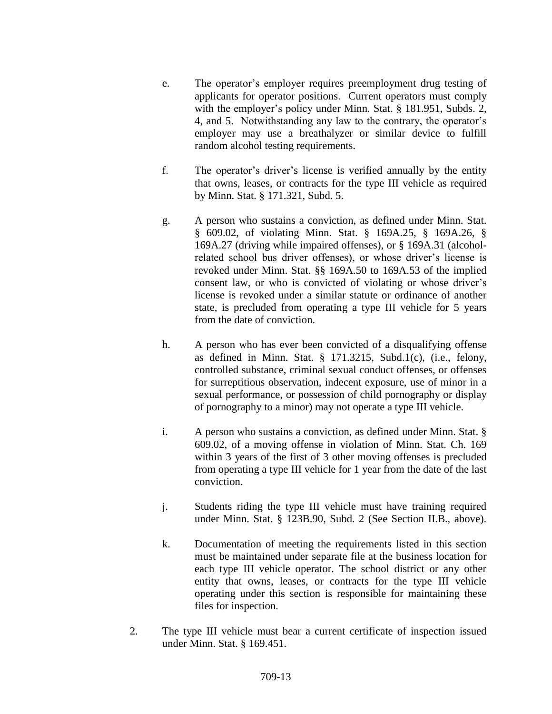- e. The operator's employer requires preemployment drug testing of applicants for operator positions. Current operators must comply with the employer's policy under Minn. Stat. § 181.951, Subds. 2, 4, and 5. Notwithstanding any law to the contrary, the operator's employer may use a breathalyzer or similar device to fulfill random alcohol testing requirements.
- f. The operator's driver's license is verified annually by the entity that owns, leases, or contracts for the type III vehicle as required by Minn. Stat. § 171.321, Subd. 5.
- g. A person who sustains a conviction, as defined under Minn. Stat. § 609.02, of violating Minn. Stat. § 169A.25, § 169A.26, § 169A.27 (driving while impaired offenses), or § 169A.31 (alcoholrelated school bus driver offenses), or whose driver's license is revoked under Minn. Stat. §§ 169A.50 to 169A.53 of the implied consent law, or who is convicted of violating or whose driver's license is revoked under a similar statute or ordinance of another state, is precluded from operating a type III vehicle for 5 years from the date of conviction.
- h. A person who has ever been convicted of a disqualifying offense as defined in Minn. Stat. § 171.3215, Subd.1(c), (i.e., felony, controlled substance, criminal sexual conduct offenses, or offenses for surreptitious observation, indecent exposure, use of minor in a sexual performance, or possession of child pornography or display of pornography to a minor) may not operate a type III vehicle.
- i. A person who sustains a conviction, as defined under Minn. Stat. § 609.02, of a moving offense in violation of Minn. Stat. Ch. 169 within 3 years of the first of 3 other moving offenses is precluded from operating a type III vehicle for 1 year from the date of the last conviction.
- j. Students riding the type III vehicle must have training required under Minn. Stat. § 123B.90, Subd. 2 (See Section II.B., above).
- k. Documentation of meeting the requirements listed in this section must be maintained under separate file at the business location for each type III vehicle operator. The school district or any other entity that owns, leases, or contracts for the type III vehicle operating under this section is responsible for maintaining these files for inspection.
- 2. The type III vehicle must bear a current certificate of inspection issued under Minn. Stat. § 169.451.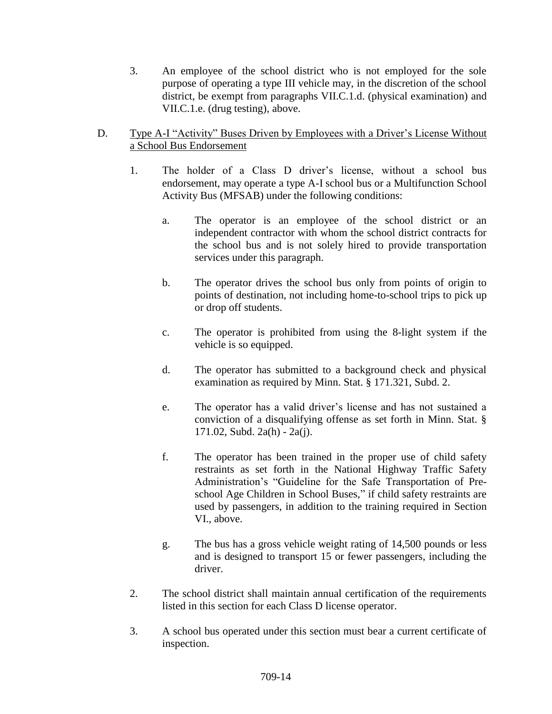3. An employee of the school district who is not employed for the sole purpose of operating a type III vehicle may, in the discretion of the school district, be exempt from paragraphs VII.C.1.d. (physical examination) and VII.C.1.e. (drug testing), above.

## D. Type A-I "Activity" Buses Driven by Employees with a Driver's License Without a School Bus Endorsement

- 1. The holder of a Class D driver's license, without a school bus endorsement, may operate a type A-I school bus or a Multifunction School Activity Bus (MFSAB) under the following conditions:
	- a. The operator is an employee of the school district or an independent contractor with whom the school district contracts for the school bus and is not solely hired to provide transportation services under this paragraph.
	- b. The operator drives the school bus only from points of origin to points of destination, not including home-to-school trips to pick up or drop off students.
	- c. The operator is prohibited from using the 8-light system if the vehicle is so equipped.
	- d. The operator has submitted to a background check and physical examination as required by Minn. Stat. § 171.321, Subd. 2.
	- e. The operator has a valid driver's license and has not sustained a conviction of a disqualifying offense as set forth in Minn. Stat. § 171.02, Subd. 2a(h) - 2a(j).
	- f. The operator has been trained in the proper use of child safety restraints as set forth in the National Highway Traffic Safety Administration's "Guideline for the Safe Transportation of Preschool Age Children in School Buses," if child safety restraints are used by passengers, in addition to the training required in Section VI., above.
	- g. The bus has a gross vehicle weight rating of 14,500 pounds or less and is designed to transport 15 or fewer passengers, including the driver.
- 2. The school district shall maintain annual certification of the requirements listed in this section for each Class D license operator.
- 3. A school bus operated under this section must bear a current certificate of inspection.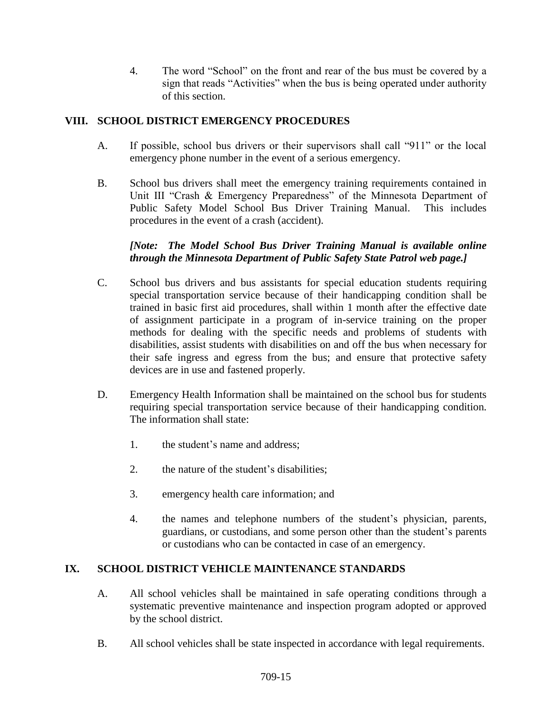4. The word "School" on the front and rear of the bus must be covered by a sign that reads "Activities" when the bus is being operated under authority of this section.

# **VIII. SCHOOL DISTRICT EMERGENCY PROCEDURES**

- A. If possible, school bus drivers or their supervisors shall call "911" or the local emergency phone number in the event of a serious emergency.
- B. School bus drivers shall meet the emergency training requirements contained in Unit III "Crash & Emergency Preparedness" of the Minnesota Department of Public Safety Model School Bus Driver Training Manual. This includes procedures in the event of a crash (accident).

# *[Note: The Model School Bus Driver Training Manual is available online through the Minnesota Department of Public Safety State Patrol web page.]*

- C. School bus drivers and bus assistants for special education students requiring special transportation service because of their handicapping condition shall be trained in basic first aid procedures, shall within 1 month after the effective date of assignment participate in a program of in-service training on the proper methods for dealing with the specific needs and problems of students with disabilities, assist students with disabilities on and off the bus when necessary for their safe ingress and egress from the bus; and ensure that protective safety devices are in use and fastened properly.
- D. Emergency Health Information shall be maintained on the school bus for students requiring special transportation service because of their handicapping condition. The information shall state:
	- 1. the student's name and address;
	- 2. the nature of the student's disabilities;
	- 3. emergency health care information; and
	- 4. the names and telephone numbers of the student's physician, parents, guardians, or custodians, and some person other than the student's parents or custodians who can be contacted in case of an emergency.

## **IX. SCHOOL DISTRICT VEHICLE MAINTENANCE STANDARDS**

- A. All school vehicles shall be maintained in safe operating conditions through a systematic preventive maintenance and inspection program adopted or approved by the school district.
- B. All school vehicles shall be state inspected in accordance with legal requirements.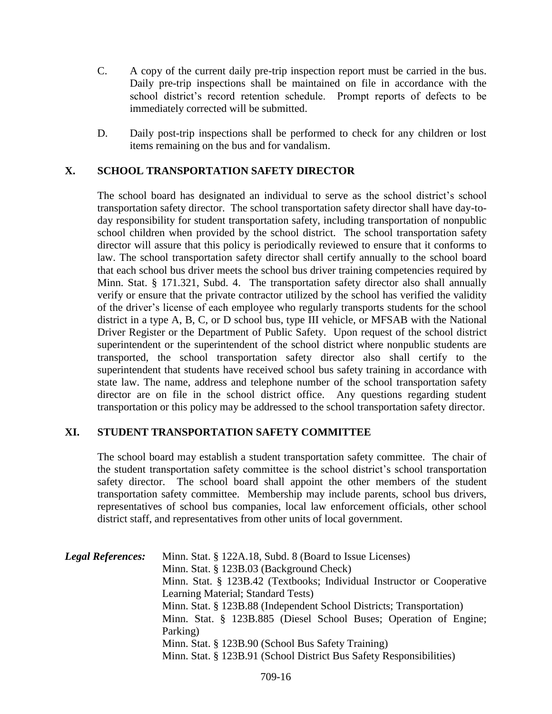- C. A copy of the current daily pre-trip inspection report must be carried in the bus. Daily pre-trip inspections shall be maintained on file in accordance with the school district's record retention schedule. Prompt reports of defects to be immediately corrected will be submitted.
- D. Daily post-trip inspections shall be performed to check for any children or lost items remaining on the bus and for vandalism.

## **X. SCHOOL TRANSPORTATION SAFETY DIRECTOR**

The school board has designated an individual to serve as the school district's school transportation safety director. The school transportation safety director shall have day-today responsibility for student transportation safety, including transportation of nonpublic school children when provided by the school district. The school transportation safety director will assure that this policy is periodically reviewed to ensure that it conforms to law. The school transportation safety director shall certify annually to the school board that each school bus driver meets the school bus driver training competencies required by Minn. Stat. § 171.321, Subd. 4. The transportation safety director also shall annually verify or ensure that the private contractor utilized by the school has verified the validity of the driver's license of each employee who regularly transports students for the school district in a type A, B, C, or D school bus, type III vehicle, or MFSAB with the National Driver Register or the Department of Public Safety. Upon request of the school district superintendent or the superintendent of the school district where nonpublic students are transported, the school transportation safety director also shall certify to the superintendent that students have received school bus safety training in accordance with state law. The name, address and telephone number of the school transportation safety director are on file in the school district office. Any questions regarding student transportation or this policy may be addressed to the school transportation safety director.

## **XI. STUDENT TRANSPORTATION SAFETY COMMITTEE**

The school board may establish a student transportation safety committee. The chair of the student transportation safety committee is the school district's school transportation safety director. The school board shall appoint the other members of the student transportation safety committee. Membership may include parents, school bus drivers, representatives of school bus companies, local law enforcement officials, other school district staff, and representatives from other units of local government.

| <b>Legal References:</b> | Minn. Stat. § 122A.18, Subd. 8 (Board to Issue Licenses)               |
|--------------------------|------------------------------------------------------------------------|
|                          | Minn. Stat. § 123B.03 (Background Check)                               |
|                          | Minn. Stat. § 123B.42 (Textbooks; Individual Instructor or Cooperative |
|                          | Learning Material; Standard Tests)                                     |
|                          | Minn. Stat. § 123B.88 (Independent School Districts; Transportation)   |
|                          | Minn. Stat. § 123B.885 (Diesel School Buses; Operation of Engine;      |
|                          | Parking)                                                               |
|                          | Minn. Stat. § 123B.90 (School Bus Safety Training)                     |
|                          | Minn. Stat. § 123B.91 (School District Bus Safety Responsibilities)    |